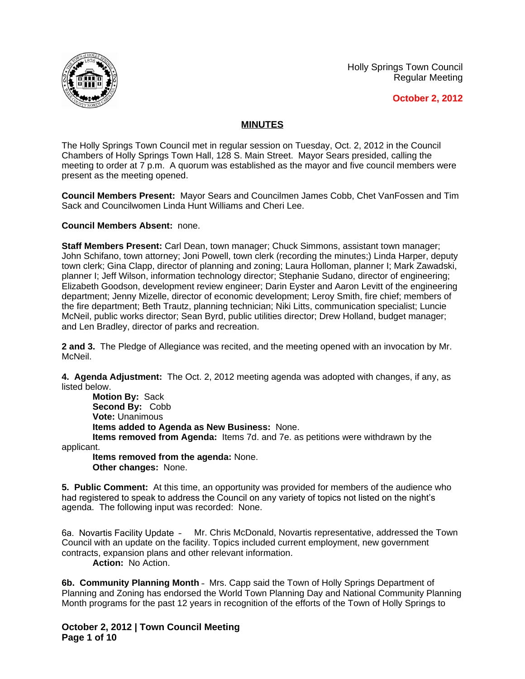





## **MINUTES**

The Holly Springs Town Council met in regular session on Tuesday, Oct. 2, 2012 in the Council Chambers of Holly Springs Town Hall, 128 S. Main Street. Mayor Sears presided, calling the meeting to order at 7 p.m. A quorum was established as the mayor and five council members were present as the meeting opened.

**Council Members Present:** Mayor Sears and Councilmen James Cobb, Chet VanFossen and Tim Sack and Councilwomen Linda Hunt Williams and Cheri Lee.

**Council Members Absent:** none.

**Staff Members Present:** Carl Dean, town manager; Chuck Simmons, assistant town manager; John Schifano, town attorney; Joni Powell, town clerk (recording the minutes;) Linda Harper, deputy town clerk; Gina Clapp, director of planning and zoning; Laura Holloman, planner I; Mark Zawadski, planner I; Jeff Wilson, information technology director; Stephanie Sudano, director of engineering; Elizabeth Goodson, development review engineer; Darin Eyster and Aaron Levitt of the engineering department; Jenny Mizelle, director of economic development; Leroy Smith, fire chief; members of the fire department; Beth Trautz, planning technician; Niki Litts, communication specialist; Luncie McNeil, public works director; Sean Byrd, public utilities director; Drew Holland, budget manager; and Len Bradley, director of parks and recreation.

**2 and 3.** The Pledge of Allegiance was recited, and the meeting opened with an invocation by Mr. McNeil.

**4. Agenda Adjustment:** The Oct. 2, 2012 meeting agenda was adopted with changes, if any, as listed below.

**Motion By:** Sack **Second By:** Cobb **Vote:** Unanimous **Items added to Agenda as New Business:** None. **Items removed from Agenda:** Items 7d. and 7e. as petitions were withdrawn by the

applicant.

**Items removed from the agenda:** None. **Other changes:** None.

**5. Public Comment:** At this time, an opportunity was provided for members of the audience who had registered to speak to address the Council on any variety of topics not listed on the night's agenda. The following input was recorded: None.

6a. Novartis Facility Update – Mr. Chris McDonald, Novartis representative, addressed the Town Council with an update on the facility. Topics included current employment, new government contracts, expansion plans and other relevant information.

**Action:** No Action.

**6b. Community Planning Month** – Mrs. Capp said the Town of Holly Springs Department of Planning and Zoning has endorsed the World Town Planning Day and National Community Planning Month programs for the past 12 years in recognition of the efforts of the Town of Holly Springs to

**October 2, 2012 | Town Council Meeting Page 1 of 10**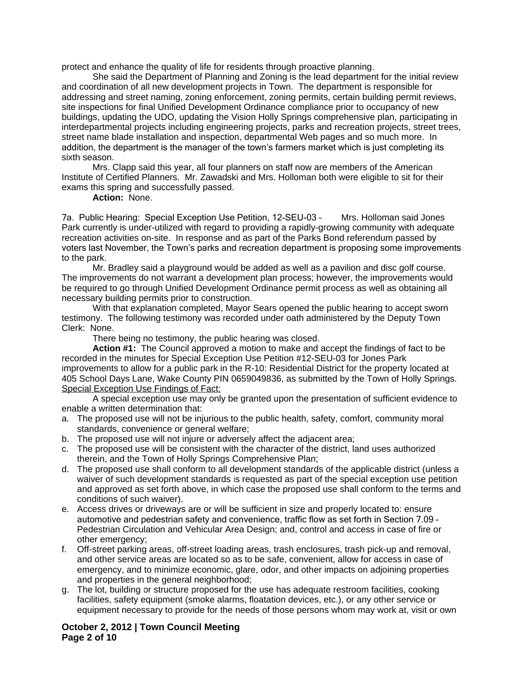protect and enhance the quality of life for residents through proactive planning.

She said the Department of Planning and Zoning is the lead department for the initial review and coordination of all new development projects in Town. The department is responsible for addressing and street naming, zoning enforcement, zoning permits, certain building permit reviews, site inspections for final Unified Development Ordinance compliance prior to occupancy of new buildings, updating the UDO, updating the Vision Holly Springs comprehensive plan, participating in interdepartmental projects including engineering projects, parks and recreation projects, street trees, street name blade installation and inspection, departmental Web pages and so much more. In addition, the department is the manager of the town's farmers market which is just completing its sixth season.

Mrs. Clapp said this year, all four planners on staff now are members of the American Institute of Certified Planners. Mr. Zawadski and Mrs. Holloman both were eligible to sit for their exams this spring and successfully passed.

## **Action:** None.

7a. Public Hearing: Special Exception Use Petition, 12-SEU-03 – Mrs. Holloman said Jones Park currently is under-utilized with regard to providing a rapidly-growing community with adequate recreation activities on-site. In response and as part of the Parks Bond referendum passed by voters last November, the Town's parks and recreation department is proposing some improvements to the park.

Mr. Bradley said a playground would be added as well as a pavilion and disc golf course. The improvements do not warrant a development plan process; however, the improvements would be required to go through Unified Development Ordinance permit process as well as obtaining all necessary building permits prior to construction.

With that explanation completed, Mayor Sears opened the public hearing to accept sworn testimony. The following testimony was recorded under oath administered by the Deputy Town Clerk: None.

There being no testimony, the public hearing was closed.

**Action #1:** The Council approved a motion to make and accept the findings of fact to be recorded in the minutes for Special Exception Use Petition #12-SEU-03 for Jones Park improvements to allow for a public park in the R-10: Residential District for the property located at 405 School Days Lane, Wake County PIN 0659049836, as submitted by the Town of Holly Springs. Special Exception Use Findings of Fact:

A special exception use may only be granted upon the presentation of sufficient evidence to enable a written determination that:

- a. The proposed use will not be injurious to the public health, safety, comfort, community moral standards, convenience or general welfare;
- b. The proposed use will not injure or adversely affect the adjacent area;
- c. The proposed use will be consistent with the character of the district, land uses authorized therein, and the Town of Holly Springs Comprehensive Plan;
- d. The proposed use shall conform to all development standards of the applicable district (unless a waiver of such development standards is requested as part of the special exception use petition and approved as set forth above, in which case the proposed use shall conform to the terms and conditions of such waiver).
- e. Access drives or driveways are or will be sufficient in size and properly located to: ensure automotive and pedestrian safety and convenience, traffic flow as set forth in Section 7.09 – Pedestrian Circulation and Vehicular Area Design; and, control and access in case of fire or other emergency;
- f. Off-street parking areas, off-street loading areas, trash enclosures, trash pick-up and removal, and other service areas are located so as to be safe, convenient, allow for access in case of emergency, and to minimize economic, glare, odor, and other impacts on adjoining properties and properties in the general neighborhood;
- g. The lot, building or structure proposed for the use has adequate restroom facilities, cooking facilities, safety equipment (smoke alarms, floatation devices, etc.), or any other service or equipment necessary to provide for the needs of those persons whom may work at, visit or own

## **October 2, 2012 | Town Council Meeting Page 2 of 10**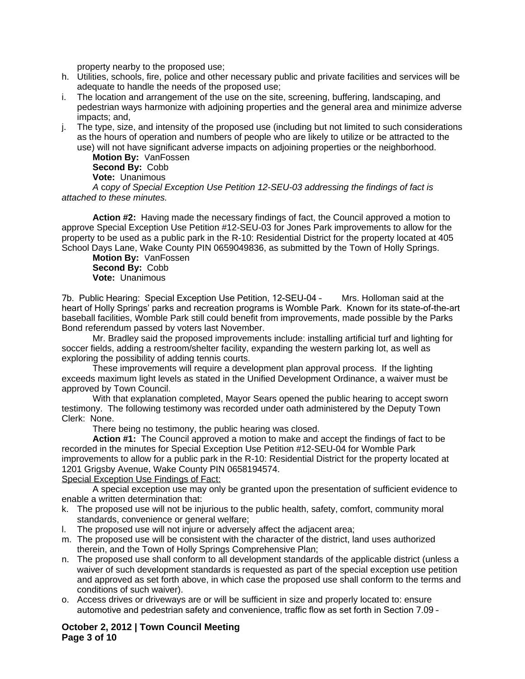property nearby to the proposed use;

- h. Utilities, schools, fire, police and other necessary public and private facilities and services will be adequate to handle the needs of the proposed use;
- i. The location and arrangement of the use on the site, screening, buffering, landscaping, and pedestrian ways harmonize with adjoining properties and the general area and minimize adverse impacts; and,
- j. The type, size, and intensity of the proposed use (including but not limited to such considerations as the hours of operation and numbers of people who are likely to utilize or be attracted to the use) will not have significant adverse impacts on adjoining properties or the neighborhood.

**Motion By:** VanFossen **Second By:** Cobb **Vote:** Unanimous

*A* c*opy of Special Exception Use Petition 12-SEU-03 addressing the findings of fact is attached to these minutes.*

**Action #2:** Having made the necessary findings of fact, the Council approved a motion to approve Special Exception Use Petition #12-SEU-03 for Jones Park improvements to allow for the property to be used as a public park in the R-10: Residential District for the property located at 405 School Days Lane, Wake County PIN 0659049836, as submitted by the Town of Holly Springs.

**Motion By:** VanFossen **Second By:** Cobb **Vote:** Unanimous

7b. Public Hearing: Special Exception Use Petition, 12-SEU-04 – Mrs. Holloman said at the heart of Holly Springs' parks and recreation programs is Womble Park. Known for its state-of-the-art baseball facilities, Womble Park still could benefit from improvements, made possible by the Parks Bond referendum passed by voters last November.

Mr. Bradley said the proposed improvements include: installing artificial turf and lighting for soccer fields, adding a restroom/shelter facility, expanding the western parking lot, as well as exploring the possibility of adding tennis courts.

These improvements will require a development plan approval process. If the lighting exceeds maximum light levels as stated in the Unified Development Ordinance, a waiver must be approved by Town Council.

With that explanation completed, Mayor Sears opened the public hearing to accept sworn testimony. The following testimony was recorded under oath administered by the Deputy Town Clerk: None.

There being no testimony, the public hearing was closed.

**Action #1:** The Council approved a motion to make and accept the findings of fact to be recorded in the minutes for Special Exception Use Petition #12-SEU-04 for Womble Park improvements to allow for a public park in the R-10: Residential District for the property located at 1201 Grigsby Avenue, Wake County PIN 0658194574.

Special Exception Use Findings of Fact:

A special exception use may only be granted upon the presentation of sufficient evidence to enable a written determination that:

- k. The proposed use will not be injurious to the public health, safety, comfort, community moral standards, convenience or general welfare;
- l. The proposed use will not injure or adversely affect the adjacent area;
- m. The proposed use will be consistent with the character of the district, land uses authorized therein, and the Town of Holly Springs Comprehensive Plan;
- n. The proposed use shall conform to all development standards of the applicable district (unless a waiver of such development standards is requested as part of the special exception use petition and approved as set forth above, in which case the proposed use shall conform to the terms and conditions of such waiver).
- o. Access drives or driveways are or will be sufficient in size and properly located to: ensure automotive and pedestrian safety and convenience, traffic flow as set forth in Section 7.09 –

**October 2, 2012 | Town Council Meeting Page 3 of 10**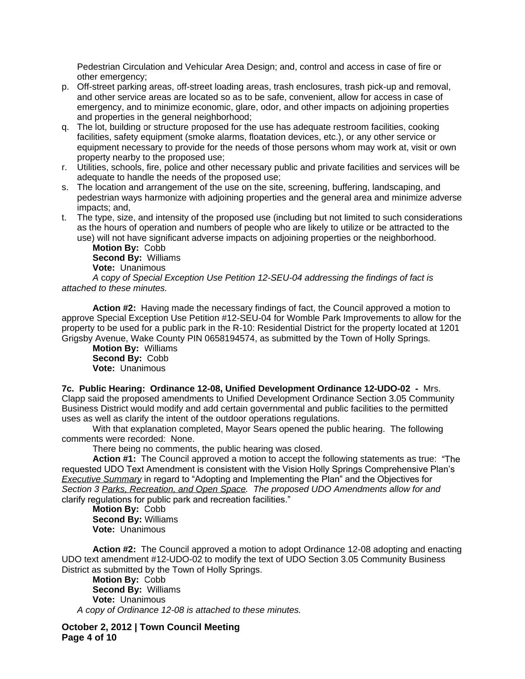Pedestrian Circulation and Vehicular Area Design; and, control and access in case of fire or other emergency;

- p. Off-street parking areas, off-street loading areas, trash enclosures, trash pick-up and removal, and other service areas are located so as to be safe, convenient, allow for access in case of emergency, and to minimize economic, glare, odor, and other impacts on adjoining properties and properties in the general neighborhood;
- q. The lot, building or structure proposed for the use has adequate restroom facilities, cooking facilities, safety equipment (smoke alarms, floatation devices, etc.), or any other service or equipment necessary to provide for the needs of those persons whom may work at, visit or own property nearby to the proposed use;
- r. Utilities, schools, fire, police and other necessary public and private facilities and services will be adequate to handle the needs of the proposed use;
- s. The location and arrangement of the use on the site, screening, buffering, landscaping, and pedestrian ways harmonize with adjoining properties and the general area and minimize adverse impacts; and,
- t. The type, size, and intensity of the proposed use (including but not limited to such considerations as the hours of operation and numbers of people who are likely to utilize or be attracted to the use) will not have significant adverse impacts on adjoining properties or the neighborhood.

**Motion By:** Cobb **Second By:** Williams **Vote:** Unanimous

*A* c*opy of Special Exception Use Petition 12-SEU-04 addressing the findings of fact is attached to these minutes.*

**Action #2:** Having made the necessary findings of fact, the Council approved a motion to approve Special Exception Use Petition #12-SEU-04 for Womble Park Improvements to allow for the property to be used for a public park in the R-10: Residential District for the property located at 1201 Grigsby Avenue, Wake County PIN 0658194574, as submitted by the Town of Holly Springs.

**Motion By:** Williams **Second By:** Cobb **Vote:** Unanimous

**7c. Public Hearing: Ordinance 12-08, Unified Development Ordinance 12-UDO-02 -** Mrs. Clapp said the proposed amendments to Unified Development Ordinance Section 3.05 Community Business District would modify and add certain governmental and public facilities to the permitted uses as well as clarify the intent of the outdoor operations regulations.

With that explanation completed, Mayor Sears opened the public hearing. The following comments were recorded: None.

There being no comments, the public hearing was closed.

**Action #1:** The Council approved a motion to accept the following statements as true: "The requested UDO Text Amendment is consistent with the Vision Holly Springs Comprehensive Plan's *Executive Summary* in regard to "Adopting and Implementing the Plan" and the Objectives for *Section 3 Parks, Recreation, and Open Space. The proposed UDO Amendments allow for and*  clarify regulations for public park and recreation facilities."

**Motion By:** Cobb **Second By:** Williams **Vote:** Unanimous

**Action #2:** The Council approved a motion to adopt Ordinance 12-08 adopting and enacting UDO text amendment #12-UDO-02 to modify the text of UDO Section 3.05 Community Business District as submitted by the Town of Holly Springs.

**Motion By:** Cobb **Second By:** Williams **Vote:** Unanimous *A copy of Ordinance 12-08 is attached to these minutes.*

**October 2, 2012 | Town Council Meeting Page 4 of 10**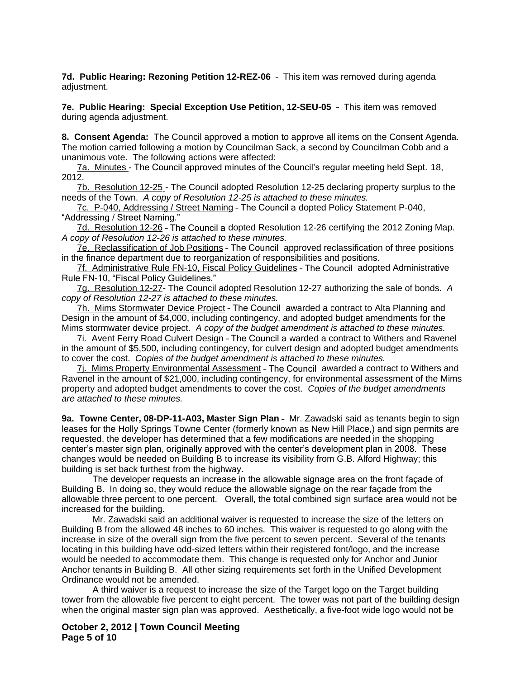**7d. Public Hearing: Rezoning Petition 12-REZ-06** – This item was removed during agenda adiustment.

**7e. Public Hearing: Special Exception Use Petition, 12-SEU-05** – This item was removed during agenda adjustment.

**8. Consent Agenda:** The Council approved a motion to approve all items on the Consent Agenda. The motion carried following a motion by Councilman Sack, a second by Councilman Cobb and a unanimous vote. The following actions were affected:

7a. Minutes - The Council approved minutes of the Council's regular meeting held Sept. 18, 2012.

7b. Resolution 12-25 - The Council adopted Resolution 12-25 declaring property surplus to the needs of the Town. *A copy of Resolution 12-25 is attached to these minutes.*

7c. P-040, Addressing / Street Naming – The Council a dopted Policy Statement P-040, "Addressing / Street Naming."

7d. Resolution 12-26 – The Council a dopted Resolution 12-26 certifying the 2012 Zoning Map. *A copy of Resolution 12-26 is attached to these minutes.*

7e. Reclassification of Job Positions – The Council approved reclassification of three positions in the finance department due to reorganization of responsibilities and positions.

7f. Administrative Rule FN-10, Fiscal Policy Guidelines – The Council adopted Administrative Rule FN-10, "Fiscal Policy Guidelines."

7g. Resolution 12-27- The Council adopted Resolution 12-27 authorizing the sale of bonds. *A copy of Resolution 12-27 is attached to these minutes.*

7h. Mims Stormwater Device Project – The Council awarded a contract to Alta Planning and Design in the amount of \$4,000, including contingency, and adopted budget amendments for the Mims stormwater device project. *A copy of the budget amendment is attached to these minutes.*

7i. Avent Ferry Road Culvert Design – The Council a warded a contract to Withers and Ravenel in the amount of \$5,500, including contingency, for culvert design and adopted budget amendments to cover the cost. *Copies of the budget amendment is attached to these minutes.*

7j. Mims Property Environmental Assessment – The Council awarded a contract to Withers and Ravenel in the amount of \$21,000, including contingency, for environmental assessment of the Mims property and adopted budget amendments to cover the cost. *Copies of the budget amendments are attached to these minutes.*

**9a. Towne Center, 08-DP-11-A03, Master Sign Plan** – Mr. Zawadski said as tenants begin to sign leases for the Holly Springs Towne Center (formerly known as New Hill Place,) and sign permits are requested, the developer has determined that a few modifications are needed in the shopping center's master sign plan, originally approved with the center's development plan in 2008. These changes would be needed on Building B to increase its visibility from G.B. Alford Highway; this building is set back furthest from the highway.

The developer requests an increase in the allowable signage area on the front façade of Building B. In doing so, they would reduce the allowable signage on the rear façade from the allowable three percent to one percent. Overall, the total combined sign surface area would not be increased for the building.

Mr. Zawadski said an additional waiver is requested to increase the size of the letters on Building B from the allowed 48 inches to 60 inches. This waiver is requested to go along with the increase in size of the overall sign from the five percent to seven percent. Several of the tenants locating in this building have odd-sized letters within their registered font/logo, and the increase would be needed to accommodate them. This change is requested only for Anchor and Junior Anchor tenants in Building B. All other sizing requirements set forth in the Unified Development Ordinance would not be amended.

A third waiver is a request to increase the size of the Target logo on the Target building tower from the allowable five percent to eight percent. The tower was not part of the building design when the original master sign plan was approved. Aesthetically, a five-foot wide logo would not be

**October 2, 2012 | Town Council Meeting Page 5 of 10**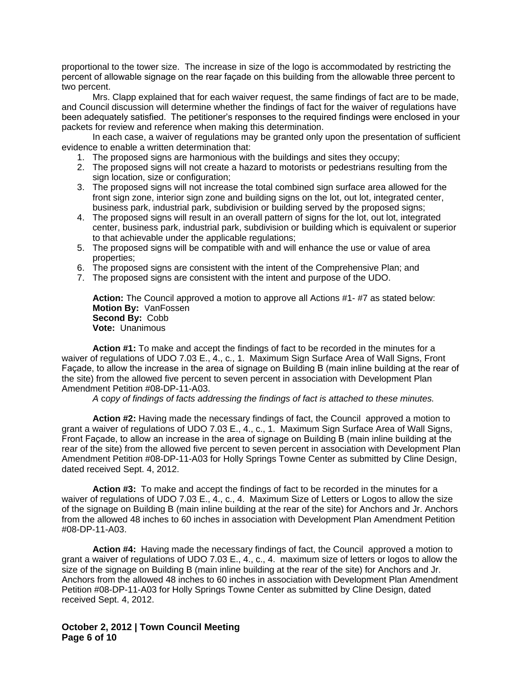proportional to the tower size. The increase in size of the logo is accommodated by restricting the percent of allowable signage on the rear façade on this building from the allowable three percent to two percent.

Mrs. Clapp explained that for each waiver request, the same findings of fact are to be made, and Council discussion will determine whether the findings of fact for the waiver of regulations have been adequately satisfied. The petitioner's responses to the required findings were enclosed in your packets for review and reference when making this determination.

In each case, a waiver of regulations may be granted only upon the presentation of sufficient evidence to enable a written determination that:

- 1. The proposed signs are harmonious with the buildings and sites they occupy;
- 2. The proposed signs will not create a hazard to motorists or pedestrians resulting from the sign location, size or configuration;
- 3. The proposed signs will not increase the total combined sign surface area allowed for the front sign zone, interior sign zone and building signs on the lot, out lot, integrated center, business park, industrial park, subdivision or building served by the proposed signs;
- 4. The proposed signs will result in an overall pattern of signs for the lot, out lot, integrated center, business park, industrial park, subdivision or building which is equivalent or superior to that achievable under the applicable regulations;
- 5. The proposed signs will be compatible with and will enhance the use or value of area properties;
- 6. The proposed signs are consistent with the intent of the Comprehensive Plan; and
- 7. The proposed signs are consistent with the intent and purpose of the UDO.

**Action:** The Council approved a motion to approve all Actions #1- #7 as stated below: **Motion By:** VanFossen **Second By:** Cobb **Vote:** Unanimous

**Action #1:** To make and accept the findings of fact to be recorded in the minutes for a waiver of regulations of UDO 7.03 E., 4., c., 1. Maximum Sign Surface Area of Wall Signs, Front Façade, to allow the increase in the area of signage on Building B (main inline building at the rear of the site) from the allowed five percent to seven percent in association with Development Plan Amendment Petition #08-DP-11-A03.

*A* c*opy of findings of facts addressing the findings of fact is attached to these minutes.*

**Action #2:** Having made the necessary findings of fact, the Council approved a motion to grant a waiver of regulations of UDO 7.03 E., 4., c., 1. Maximum Sign Surface Area of Wall Signs, Front Façade, to allow an increase in the area of signage on Building B (main inline building at the rear of the site) from the allowed five percent to seven percent in association with Development Plan Amendment Petition #08-DP-11-A03 for Holly Springs Towne Center as submitted by Cline Design, dated received Sept. 4, 2012.

**Action #3:** To make and accept the findings of fact to be recorded in the minutes for a waiver of regulations of UDO 7.03 E., 4., c., 4. Maximum Size of Letters or Logos to allow the size of the signage on Building B (main inline building at the rear of the site) for Anchors and Jr. Anchors from the allowed 48 inches to 60 inches in association with Development Plan Amendment Petition #08-DP-11-A03.

**Action #4:** Having made the necessary findings of fact, the Council approved a motion to grant a waiver of regulations of UDO 7.03 E., 4., c., 4. maximum size of letters or logos to allow the size of the signage on Building B (main inline building at the rear of the site) for Anchors and Jr. Anchors from the allowed 48 inches to 60 inches in association with Development Plan Amendment Petition #08-DP-11-A03 for Holly Springs Towne Center as submitted by Cline Design, dated received Sept. 4, 2012.

**October 2, 2012 | Town Council Meeting Page 6 of 10**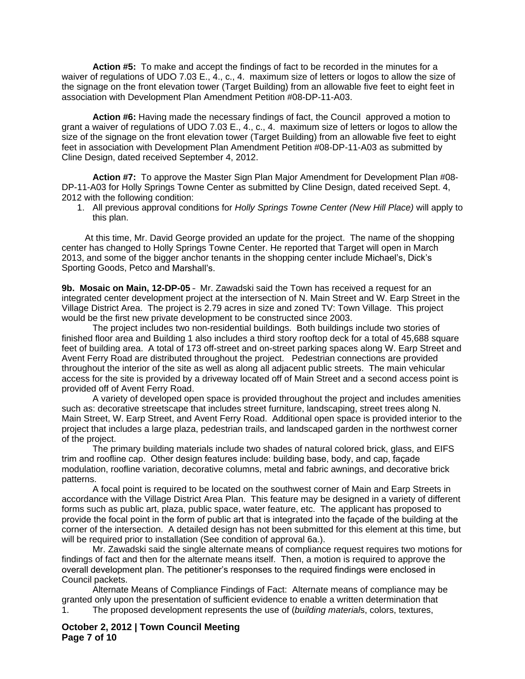**Action #5:** To make and accept the findings of fact to be recorded in the minutes for a waiver of regulations of UDO 7.03 E., 4., c., 4. maximum size of letters or logos to allow the size of the signage on the front elevation tower (Target Building) from an allowable five feet to eight feet in association with Development Plan Amendment Petition #08-DP-11-A03.

**Action #6:** Having made the necessary findings of fact, the Council approved a motion to grant a waiver of regulations of UDO 7.03 E., 4., c., 4. maximum size of letters or logos to allow the size of the signage on the front elevation tower (Target Building) from an allowable five feet to eight feet in association with Development Plan Amendment Petition #08-DP-11-A03 as submitted by Cline Design, dated received September 4, 2012.

**Action #7:** To approve the Master Sign Plan Major Amendment for Development Plan #08- DP-11-A03 for Holly Springs Towne Center as submitted by Cline Design, dated received Sept. 4, 2012 with the following condition:

1. All previous approval conditions for *Holly Springs Towne Center (New Hill Place)* will apply to this plan.

At this time, Mr. David George provided an update for the project. The name of the shopping center has changed to Holly Springs Towne Center. He reported that Target will open in March 2013, and some of the bigger anchor tenants in the shopping center include Michael's, Dick's Sporting Goods, Petco and Marshall's.

**9b. Mosaic on Main, 12-DP-05** – Mr. Zawadski said the Town has received a request for an integrated center development project at the intersection of N. Main Street and W. Earp Street in the Village District Area. The project is 2.79 acres in size and zoned TV: Town Village. This project would be the first new private development to be constructed since 2003.

The project includes two non-residential buildings. Both buildings include two stories of finished floor area and Building 1 also includes a third story rooftop deck for a total of 45,688 square feet of building area. A total of 173 off-street and on-street parking spaces along W. Earp Street and Avent Ferry Road are distributed throughout the project. Pedestrian connections are provided throughout the interior of the site as well as along all adjacent public streets. The main vehicular access for the site is provided by a driveway located off of Main Street and a second access point is provided off of Avent Ferry Road.

A variety of developed open space is provided throughout the project and includes amenities such as: decorative streetscape that includes street furniture, landscaping, street trees along N. Main Street, W. Earp Street, and Avent Ferry Road. Additional open space is provided interior to the project that includes a large plaza, pedestrian trails, and landscaped garden in the northwest corner of the project.

The primary building materials include two shades of natural colored brick, glass, and EIFS trim and roofline cap. Other design features include: building base, body, and cap, façade modulation, roofline variation, decorative columns, metal and fabric awnings, and decorative brick patterns.

A focal point is required to be located on the southwest corner of Main and Earp Streets in accordance with the Village District Area Plan. This feature may be designed in a variety of different forms such as public art, plaza, public space, water feature, etc. The applicant has proposed to provide the focal point in the form of public art that is integrated into the façade of the building at the corner of the intersection. A detailed design has not been submitted for this element at this time, but will be required prior to installation (See condition of approval 6a.).

Mr. Zawadski said the single alternate means of compliance request requires two motions for findings of fact and then for the alternate means itself. Then, a motion is required to approve the overall development plan. The petitioner's responses to the required findings were enclosed in Council packets.

Alternate Means of Compliance Findings of Fact: Alternate means of compliance may be granted only upon the presentation of sufficient evidence to enable a written determination that  $1.$  The proposed development represents the use of *(building materials, colors, textures,* 1. The proposed development represents the use of (*building material*s, colors, textures,

**October 2, 2012 | Town Council Meeting Page 7 of 10**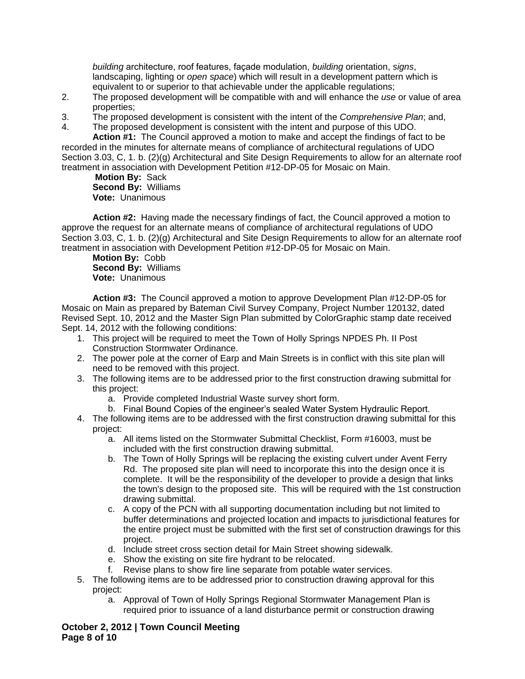*building* architecture, roof features, façade modulation, *building* orientation, *signs*, landscaping, lighting or *open space*) which will result in a development pattern which is equivalent to or superior to that achievable under the applicable regulations;

- 2. The proposed development will be compatible with and will enhance the *use* or value of area properties;
- 3. The proposed development is consistent with the intent of the *Comprehensive Plan*; and,
- 4. The proposed development is consistent with the intent and purpose of this UDO.

**Action #1:** The Council approved a motion to make and accept the findings of fact to be recorded in the minutes for alternate means of compliance of architectural regulations of UDO Section 3.03, C, 1. b. (2)(g) Architectural and Site Design Requirements to allow for an alternate roof treatment in association with Development Petition #12-DP-05 for Mosaic on Main.

**Motion By:** Sack **Second By:** Williams **Vote:** Unanimous

**Action #2:** Having made the necessary findings of fact, the Council approved a motion to approve the request for an alternate means of compliance of architectural regulations of UDO Section 3.03, C, 1. b. (2)(g) Architectural and Site Design Requirements to allow for an alternate roof treatment in association with Development Petition #12-DP-05 for Mosaic on Main.

**Motion By:** Cobb **Second By:** Williams **Vote:** Unanimous

**Action #3:** The Council approved a motion to approve Development Plan #12-DP-05 for Mosaic on Main as prepared by Bateman Civil Survey Company, Project Number 120132, dated Revised Sept. 10, 2012 and the Master Sign Plan submitted by ColorGraphic stamp date received Sept. 14, 2012 with the following conditions:

- 1. This project will be required to meet the Town of Holly Springs NPDES Ph. II Post Construction Stormwater Ordinance.
- 2. The power pole at the corner of Earp and Main Streets is in conflict with this site plan will need to be removed with this project.
- 3. The following items are to be addressed prior to the first construction drawing submittal for this project:
	- a. Provide completed Industrial Waste survey short form.
	- b. Final Bound Copies of the engineer's sealed Water System Hydraulic Report.
- 4. The following items are to be addressed with the first construction drawing submittal for this project:
	- a. All items listed on the Stormwater Submittal Checklist, Form #16003, must be included with the first construction drawing submittal.
	- b. The Town of Holly Springs will be replacing the existing culvert under Avent Ferry Rd. The proposed site plan will need to incorporate this into the design once it is complete. It will be the responsibility of the developer to provide a design that links the town's design to the proposed site. This will be required with the 1st construction drawing submittal.
	- c. A copy of the PCN with all supporting documentation including but not limited to buffer determinations and projected location and impacts to jurisdictional features for the entire project must be submitted with the first set of construction drawings for this project.
	- d. Include street cross section detail for Main Street showing sidewalk.
	- e. Show the existing on site fire hydrant to be relocated.
	- f. Revise plans to show fire line separate from potable water services.
- 5. The following items are to be addressed prior to construction drawing approval for this project:
	- a. Approval of Town of Holly Springs Regional Stormwater Management Plan is required prior to issuance of a land disturbance permit or construction drawing

**October 2, 2012 | Town Council Meeting Page 8 of 10**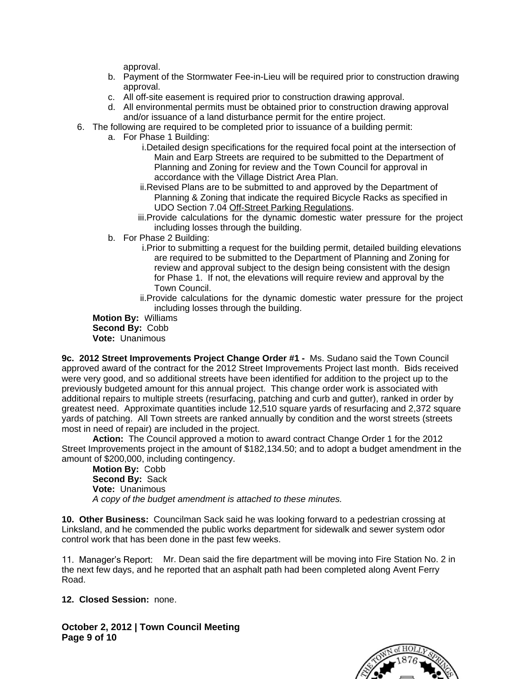approval.

- b. Payment of the Stormwater Fee-in-Lieu will be required prior to construction drawing approval.
- c. All off-site easement is required prior to construction drawing approval.
- d. All environmental permits must be obtained prior to construction drawing approval and/or issuance of a land disturbance permit for the entire project.
- 6. The following are required to be completed prior to issuance of a building permit:
	- a. For Phase 1 Building:
		- i.Detailed design specifications for the required focal point at the intersection of Main and Earp Streets are required to be submitted to the Department of Planning and Zoning for review and the Town Council for approval in accordance with the Village District Area Plan.
		- ii.Revised Plans are to be submitted to and approved by the Department of Planning & Zoning that indicate the required Bicycle Racks as specified in UDO Section 7.04 Off-Street Parking Regulations.
		- iii.Provide calculations for the dynamic domestic water pressure for the project including losses through the building.
		- b. For Phase 2 Building:
			- i.Prior to submitting a request for the building permit, detailed building elevations are required to be submitted to the Department of Planning and Zoning for review and approval subject to the design being consistent with the design for Phase 1. If not, the elevations will require review and approval by the Town Council.
			- ii.Provide calculations for the dynamic domestic water pressure for the project including losses through the building.

**Motion By:** Williams **Second By:** Cobb **Vote:** Unanimous

**9c. 2012 Street Improvements Project Change Order #1 -** Ms. Sudano said the Town Council approved award of the contract for the 2012 Street Improvements Project last month. Bids received were very good, and so additional streets have been identified for addition to the project up to the previously budgeted amount for this annual project. This change order work is associated with additional repairs to multiple streets (resurfacing, patching and curb and gutter), ranked in order by greatest need. Approximate quantities include 12,510 square yards of resurfacing and 2,372 square yards of patching. All Town streets are ranked annually by condition and the worst streets (streets most in need of repair) are included in the project.

**Action:** The Council approved a motion to award contract Change Order 1 for the 2012 Street Improvements project in the amount of \$182,134.50; and to adopt a budget amendment in the amount of \$200,000, including contingency.

**Motion By:** Cobb **Second By:** Sack **Vote:** Unanimous *A copy of the budget amendment is attached to these minutes.*

**10. Other Business:** Councilman Sack said he was looking forward to a pedestrian crossing at Linksland, and he commended the public works department for sidewalk and sewer system odor control work that has been done in the past few weeks.

11. Manager's Report: Mr. Dean said the fire department will be moving into Fire Station No. 2 in the next few days, and he reported that an asphalt path had been completed along Avent Ferry Road.

**12. Closed Session:** none.

**October 2, 2012 | Town Council Meeting Page 9 of 10**